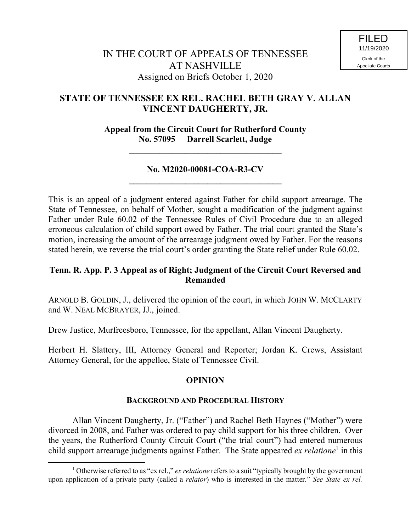# **STATE OF TENNESSEE EX REL. RACHEL BETH GRAY V. ALLAN VINCENT DAUGHERTY, JR.**

## **Appeal from the Circuit Court for Rutherford County No. 57095 Darrell Scarlett, Judge**

**\_\_\_\_\_\_\_\_\_\_\_\_\_\_\_\_\_\_\_\_\_\_\_\_\_\_\_\_\_\_\_\_\_\_\_**

## **No. M2020-00081-COA-R3-CV \_\_\_\_\_\_\_\_\_\_\_\_\_\_\_\_\_\_\_\_\_\_\_\_\_\_\_\_\_\_\_\_\_\_\_**

This is an appeal of a judgment entered against Father for child support arrearage. The State of Tennessee, on behalf of Mother, sought a modification of the judgment against Father under Rule 60.02 of the Tennessee Rules of Civil Procedure due to an alleged erroneous calculation of child support owed by Father. The trial court granted the State's motion, increasing the amount of the arrearage judgment owed by Father. For the reasons stated herein, we reverse the trial court's order granting the State relief under Rule 60.02.

## **Tenn. R. App. P. 3 Appeal as of Right; Judgment of the Circuit Court Reversed and Remanded**

ARNOLD B. GOLDIN, J., delivered the opinion of the court, in which JOHN W. MCCLARTY and W. NEAL MCBRAYER, JJ., joined.

Drew Justice, Murfreesboro, Tennessee, for the appellant, Allan Vincent Daugherty.

Herbert H. Slattery, III, Attorney General and Reporter; Jordan K. Crews, Assistant Attorney General, for the appellee, State of Tennessee Civil.

## **OPINION**

## **BACKGROUND AND PROCEDURAL HISTORY**

Allan Vincent Daugherty, Jr. ("Father") and Rachel Beth Haynes ("Mother") were divorced in 2008, and Father was ordered to pay child support for his three children. Over the years, the Rutherford County Circuit Court ("the trial court") had entered numerous child support arrearage judgments against Father. The State appeared ex relatione<sup>1</sup> in this

 $\overline{a}$ 

<sup>1</sup> Otherwise referred to as "ex rel.," *ex relatione* refers to a suit "typically brought by the government upon application of a private party (called a *relator*) who is interested in the matter." *See State ex rel.*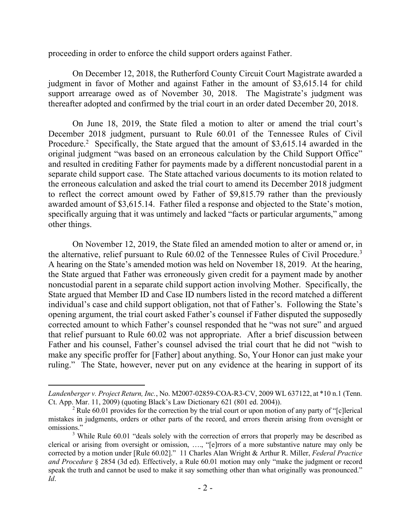proceeding in order to enforce the child support orders against Father.

On December 12, 2018, the Rutherford County Circuit Court Magistrate awarded a judgment in favor of Mother and against Father in the amount of \$3,615.14 for child support arrearage owed as of November 30, 2018. The Magistrate's judgment was thereafter adopted and confirmed by the trial court in an order dated December 20, 2018.

On June 18, 2019, the State filed a motion to alter or amend the trial court's December 2018 judgment, pursuant to Rule 60.01 of the Tennessee Rules of Civil Procedure.<sup>2</sup> Specifically, the State argued that the amount of \$3,615.14 awarded in the original judgment "was based on an erroneous calculation by the Child Support Office" and resulted in crediting Father for payments made by a different noncustodial parent in a separate child support case. The State attached various documents to its motion related to the erroneous calculation and asked the trial court to amend its December 2018 judgment to reflect the correct amount owed by Father of \$9,815.79 rather than the previously awarded amount of \$3,615.14. Father filed a response and objected to the State's motion, specifically arguing that it was untimely and lacked "facts or particular arguments," among other things.

On November 12, 2019, the State filed an amended motion to alter or amend or, in the alternative, relief pursuant to Rule 60.02 of the Tennessee Rules of Civil Procedure.<sup>3</sup> A hearing on the State's amended motion was held on November 18, 2019. At the hearing, the State argued that Father was erroneously given credit for a payment made by another noncustodial parent in a separate child support action involving Mother. Specifically, the State argued that Member ID and Case ID numbers listed in the record matched a different individual's case and child support obligation, not that of Father's. Following the State's opening argument, the trial court asked Father's counsel if Father disputed the supposedly corrected amount to which Father's counsel responded that he "was not sure" and argued that relief pursuant to Rule 60.02 was not appropriate. After a brief discussion between Father and his counsel, Father's counsel advised the trial court that he did not "wish to make any specific proffer for [Father] about anything. So, Your Honor can just make your ruling." The State, however, never put on any evidence at the hearing in support of its

*Landenberger v. Project Return, Inc.*, No. M2007-02859-COA-R3-CV, 2009 WL 637122, at \*10 n.1 (Tenn. Ct. App. Mar. 11, 2009) (quoting Black's Law Dictionary 621 (801 ed. 2004)).

<sup>&</sup>lt;sup>2</sup> Rule 60.01 provides for the correction by the trial court or upon motion of any party of "[c]lerical mistakes in judgments, orders or other parts of the record, and errors therein arising from oversight or omissions."

<sup>&</sup>lt;sup>3</sup> While Rule 60.01 "deals solely with the correction of errors that properly may be described as clerical or arising from oversight or omission, …., "[e]rrors of a more substantive nature may only be corrected by a motion under [Rule 60.02]." 11 Charles Alan Wright & Arthur R. Miller, *Federal Practice and Procedure* § 2854 (3d ed). Effectively, a Rule 60.01 motion may only "make the judgment or record speak the truth and cannot be used to make it say something other than what originally was pronounced." *Id*.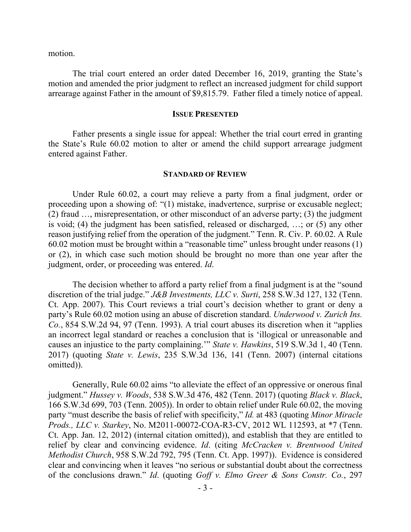motion.

The trial court entered an order dated December 16, 2019, granting the State's motion and amended the prior judgment to reflect an increased judgment for child support arrearage against Father in the amount of \$9,815.79. Father filed a timely notice of appeal.

#### **ISSUE PRESENTED**

Father presents a single issue for appeal: Whether the trial court erred in granting the State's Rule 60.02 motion to alter or amend the child support arrearage judgment entered against Father.

#### **STANDARD OF REVIEW**

Under Rule 60.02, a court may relieve a party from a final judgment, order or proceeding upon a showing of: "(1) mistake, inadvertence, surprise or excusable neglect; (2) fraud …, misrepresentation, or other misconduct of an adverse party; (3) the judgment is void; (4) the judgment has been satisfied, released or discharged, …; or (5) any other reason justifying relief from the operation of the judgment." Tenn. R. Civ. P. 60.02. A Rule 60.02 motion must be brought within a "reasonable time" unless brought under reasons (1) or (2), in which case such motion should be brought no more than one year after the judgment, order, or proceeding was entered. *Id*.

The decision whether to afford a party relief from a final judgment is at the "sound discretion of the trial judge." *J&B Investments, LLC v. Surti*, 258 S.W.3d 127, 132 (Tenn. Ct. App. 2007). This Court reviews a trial court's decision whether to grant or deny a party's Rule 60.02 motion using an abuse of discretion standard. *Underwood v. Zurich Ins. Co.*, 854 S.W.2d 94, 97 (Tenn. 1993). A trial court abuses its discretion when it "applies an incorrect legal standard or reaches a conclusion that is 'illogical or unreasonable and causes an injustice to the party complaining.'" *State v. Hawkins*, 519 S.W.3d 1, 40 (Tenn. 2017) (quoting *State v. Lewis*, 235 S.W.3d 136, 141 (Tenn. 2007) (internal citations omitted)).

Generally, Rule 60.02 aims "to alleviate the effect of an oppressive or onerous final judgment." *Hussey v. Woods*, 538 S.W.3d 476, 482 (Tenn. 2017) (quoting *Black v. Black*, 166 S.W.3d 699, 703 (Tenn. 2005)). In order to obtain relief under Rule 60.02, the moving party "must describe the basis of relief with specificity," *Id.* at 483 (quoting *Minor Miracle Prods., LLC v. Starkey*, No. M2011-00072-COA-R3-CV, 2012 WL 112593, at \*7 (Tenn. Ct. App. Jan. 12, 2012) (internal citation omitted)), and establish that they are entitled to relief by clear and convincing evidence. *Id*. (citing *McCracken v. Brentwood United Methodist Church*, 958 S.W.2d 792, 795 (Tenn. Ct. App. 1997)). Evidence is considered clear and convincing when it leaves "no serious or substantial doubt about the correctness of the conclusions drawn." *Id*. (quoting *Goff v. Elmo Greer & Sons Constr. Co.*, 297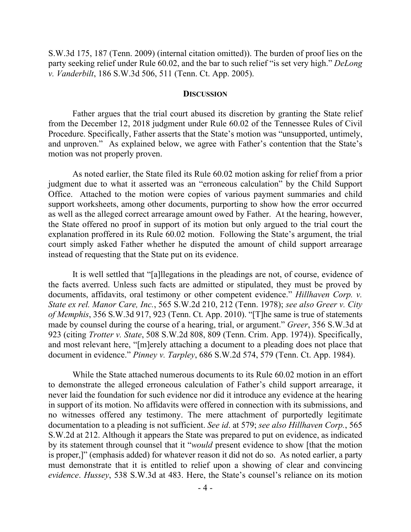S.W.3d 175, 187 (Tenn. 2009) (internal citation omitted)). The burden of proof lies on the party seeking relief under Rule 60.02, and the bar to such relief "is set very high." *DeLong v. Vanderbilt*, 186 S.W.3d 506, 511 (Tenn. Ct. App. 2005).

#### **DISCUSSION**

Father argues that the trial court abused its discretion by granting the State relief from the December 12, 2018 judgment under Rule 60.02 of the Tennessee Rules of Civil Procedure. Specifically, Father asserts that the State's motion was "unsupported, untimely, and unproven." As explained below, we agree with Father's contention that the State's motion was not properly proven.

As noted earlier, the State filed its Rule 60.02 motion asking for relief from a prior judgment due to what it asserted was an "erroneous calculation" by the Child Support Office. Attached to the motion were copies of various payment summaries and child support worksheets, among other documents, purporting to show how the error occurred as well as the alleged correct arrearage amount owed by Father. At the hearing, however, the State offered no proof in support of its motion but only argued to the trial court the explanation proffered in its Rule 60.02 motion. Following the State's argument, the trial court simply asked Father whether he disputed the amount of child support arrearage instead of requesting that the State put on its evidence.

It is well settled that "[a]llegations in the pleadings are not, of course, evidence of the facts averred. Unless such facts are admitted or stipulated, they must be proved by documents, affidavits, oral testimony or other competent evidence." *Hillhaven Corp. v. State ex rel. Manor Care, Inc.*, 565 S.W.2d 210, 212 (Tenn. 1978); *see also Greer v. City of Memphis*, 356 S.W.3d 917, 923 (Tenn. Ct. App. 2010). "[T]he same is true of statements made by counsel during the course of a hearing, trial, or argument." *Greer*, 356 S.W.3d at 923 (citing *Trotter v. State*, 508 S.W.2d 808, 809 (Tenn. Crim. App. 1974)). Specifically, and most relevant here, "[m]erely attaching a document to a pleading does not place that document in evidence." *Pinney v. Tarpley*, 686 S.W.2d 574, 579 (Tenn. Ct. App. 1984).

While the State attached numerous documents to its Rule 60.02 motion in an effort to demonstrate the alleged erroneous calculation of Father's child support arrearage, it never laid the foundation for such evidence nor did it introduce any evidence at the hearing in support of its motion. No affidavits were offered in connection with its submissions, and no witnesses offered any testimony. The mere attachment of purportedly legitimate documentation to a pleading is not sufficient. *See id*. at 579; *see also Hillhaven Corp.*, 565 S.W.2d at 212. Although it appears the State was prepared to put on evidence, as indicated by its statement through counsel that it "*would* present evidence to show [that the motion is proper,]" (emphasis added) for whatever reason it did not do so. As noted earlier, a party must demonstrate that it is entitled to relief upon a showing of clear and convincing *evidence*. *Hussey*, 538 S.W.3d at 483. Here, the State's counsel's reliance on its motion